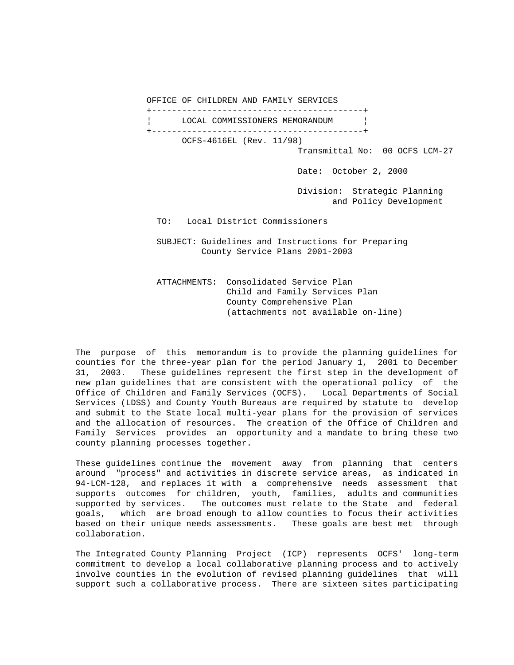OFFICE OF CHILDREN AND FAMILY SERVICES

 +------------------------------------------+ LOCAL COMMISSIONERS MEMORANDUM | +------------------------------------------+ OCFS-4616EL (Rev. 11/98) Transmittal No: 00 OCFS LCM-27

Date: October 2, 2000

 Division: Strategic Planning and Policy Development

TO: Local District Commissioners

 SUBJECT: Guidelines and Instructions for Preparing County Service Plans 2001-2003

 ATTACHMENTS: Consolidated Service Plan Child and Family Services Plan County Comprehensive Plan (attachments not available on-line)

The purpose of this memorandum is to provide the planning guidelines for counties for the three-year plan for the period January 1, 2001 to December 31, 2003. These guidelines represent the first step in the development of new plan guidelines that are consistent with the operational policy of the Office of Children and Family Services (OCFS). Local Departments of Social Services (LDSS) and County Youth Bureaus are required by statute to develop and submit to the State local multi-year plans for the provision of services and the allocation of resources. The creation of the Office of Children and Family Services provides an opportunity and a mandate to bring these two county planning processes together.

These guidelines continue the movement away from planning that centers around "process" and activities in discrete service areas, as indicated in 94-LCM-128, and replaces it with a comprehensive needs assessment that supports outcomes for children, youth, families, adults and communities supported by services. The outcomes must relate to the State and federal goals, which are broad enough to allow counties to focus their activities based on their unique needs assessments. These goals are best met through collaboration.

The Integrated County Planning Project (ICP) represents OCFS' long-term commitment to develop a local collaborative planning process and to actively involve counties in the evolution of revised planning guidelines that will support such a collaborative process. There are sixteen sites participating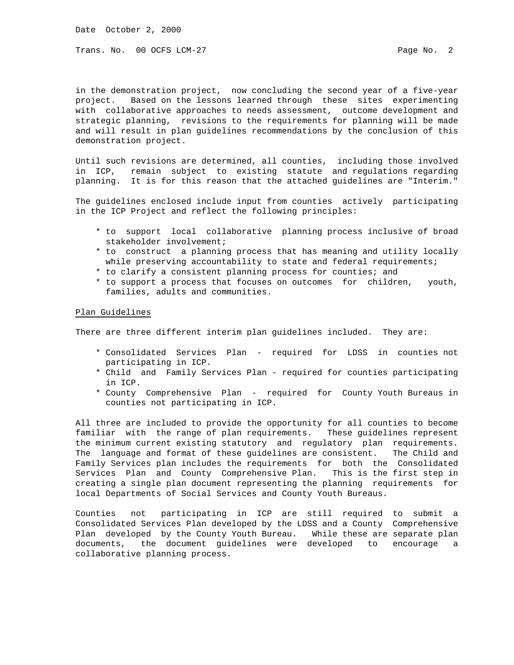Date October 2, 2000

Trans. No. 00 OCFS LCM-27 **Page No. 2** 

in the demonstration project, now concluding the second year of a five-year project. Based on the lessons learned through these sites experimenting with collaborative approaches to needs assessment, outcome development and strategic planning, revisions to the requirements for planning will be made and will result in plan guidelines recommendations by the conclusion of this demonstration project.

Until such revisions are determined, all counties, including those involved in ICP, remain subject to existing statute and regulations regarding planning. It is for this reason that the attached guidelines are "Interim."

The guidelines enclosed include input from counties actively participating in the ICP Project and reflect the following principles:

- \* to support local collaborative planning process inclusive of broad stakeholder involvement;
- \* to construct a planning process that has meaning and utility locally while preserving accountability to state and federal requirements;
- \* to clarify a consistent planning process for counties; and
- \* to support a process that focuses on outcomes for children, youth, families, adults and communities.

## Plan Guidelines

There are three different interim plan guidelines included. They are:

- \* Consolidated Services Plan required for LDSS in counties not participating in ICP.
- \* Child and Family Services Plan required for counties participating in ICP.
- \* County Comprehensive Plan required for County Youth Bureaus in counties not participating in ICP.

All three are included to provide the opportunity for all counties to become familiar with the range of plan requirements. These guidelines represent the minimum current existing statutory and regulatory plan requirements. The language and format of these guidelines are consistent. The Child and Family Services plan includes the requirements for both the Consolidated Services Plan and County Comprehensive Plan. This is the first step in creating a single plan document representing the planning requirements for local Departments of Social Services and County Youth Bureaus.

Counties not participating in ICP are still required to submit a Consolidated Services Plan developed by the LDSS and a County Comprehensive Plan developed by the County Youth Bureau. While these are separate plan documents, the document guidelines were developed to encourage a collaborative planning process.